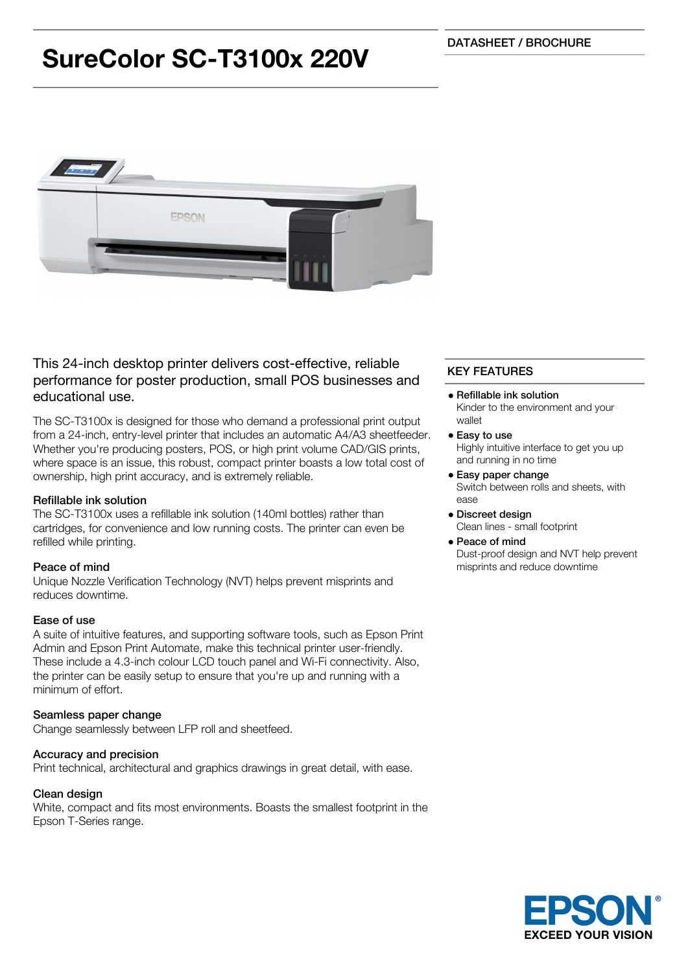# **SureColor SC-T3100x 220V**



# This 24-inch desktop printer delivers cost-effective, reliable performance for poster production, small POS businesses and educational use.

The SC-T3100x is designed for those who demand a professional print output from a 24-inch, entry-level printer that includes an automatic A4/A3 sheetfeeder. Whether you're producing posters, POS, or high print volume CAD/GIS prints, where space is an issue, this robust, compact printer boasts a low total cost of ownership, high print accuracy, and is extremely reliable.

## Refillable ink solution

The SC-T3100x uses a refillable ink solution (140ml bottles) rather than cartridges, for convenience and low running costs. The printer can even be refilled while printing.

### Peace of mind

Unique Nozzle Verification Technology (NVT) helps prevent misprints and reduces downtime.

### Ease of use

A suite of intuitive features, and supporting software tools, such as Epson Print Admin and Epson Print Automate, make this technical printer user-friendly. These include a 4.3-inch colour LCD touch panel and Wi-Fi connectivity. Also, the printer can be easily setup to ensure that you're up and running with a minimum of effort.

### Seamless paper change

Change seamlessly between LFP roll and sheetfeed.

### Accuracy and precision

Print technical, architectural and graphics drawings in great detail, with ease.

### Clean design

White, compact and fits most environments. Boasts the smallest footprint in the Epson T-Series range.

# KEY FEATURES

- Refillable ink solution Kinder to the environment and your wallet
- Easy to use Highly intuitive interface to get you up and running in no time
- Easy paper change Switch between rolls and sheets, with ease
- Discreet design Clean lines - small footprint

## Peace of mind

Dust-proof design and NVT help prevent misprints and reduce downtime

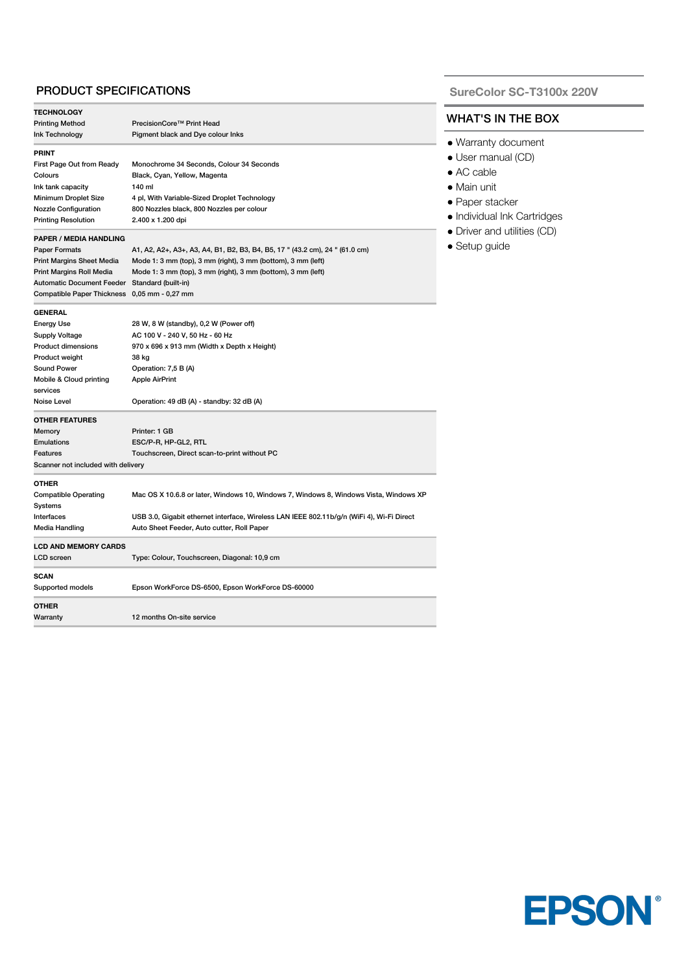### PRODUCT SPECIFICATIONS

| <b>TECHNOLOGY</b>                            |                                                                                           |  |
|----------------------------------------------|-------------------------------------------------------------------------------------------|--|
| <b>Printing Method</b>                       | PrecisionCore™ Print Head                                                                 |  |
| Ink Technology                               | Pigment black and Dye colour Inks                                                         |  |
| <b>PRINT</b>                                 |                                                                                           |  |
| First Page Out from Ready                    | Monochrome 34 Seconds, Colour 34 Seconds                                                  |  |
| Colours                                      | Black, Cyan, Yellow, Magenta                                                              |  |
| Ink tank capacity                            | 140 ml                                                                                    |  |
| Minimum Droplet Size                         | 4 pl, With Variable-Sized Droplet Technology                                              |  |
| <b>Nozzle Configuration</b>                  | 800 Nozzles black, 800 Nozzles per colour                                                 |  |
| <b>Printing Resolution</b>                   | 2.400 x 1.200 dpi                                                                         |  |
| <b>PAPER / MEDIA HANDLING</b>                |                                                                                           |  |
| <b>Paper Formats</b>                         | A1, A2, A2+, A3+, A3, A4, B1, B2, B3, B4, B5, 17 " (43.2 cm), 24 " (61.0 cm)              |  |
| <b>Print Margins Sheet Media</b>             | Mode 1: 3 mm (top), 3 mm (right), 3 mm (bottom), 3 mm (left)                              |  |
| Print Margins Roll Media                     | Mode 1: 3 mm (top), 3 mm (right), 3 mm (bottom), 3 mm (left)                              |  |
| <b>Automatic Document Feeder</b>             | Standard (built-in)                                                                       |  |
| Compatible Paper Thickness 0,05 mm - 0,27 mm |                                                                                           |  |
| <b>GENERAL</b>                               |                                                                                           |  |
| <b>Energy Use</b>                            | 28 W, 8 W (standby), 0,2 W (Power off)                                                    |  |
| <b>Supply Voltage</b>                        | AC 100 V - 240 V, 50 Hz - 60 Hz                                                           |  |
| <b>Product dimensions</b>                    | 970 x 696 x 913 mm (Width x Depth x Height)                                               |  |
| Product weight                               | 38 kg                                                                                     |  |
| <b>Sound Power</b>                           | Operation: 7,5 B (A)                                                                      |  |
| Mobile & Cloud printing                      | <b>Apple AirPrint</b>                                                                     |  |
| services                                     |                                                                                           |  |
| Noise Level                                  | Operation: 49 dB (A) - standby: 32 dB (A)                                                 |  |
| <b>OTHER FEATURES</b>                        |                                                                                           |  |
| Memory                                       | Printer: 1 GB                                                                             |  |
| <b>Emulations</b>                            | ESC/P-R, HP-GL2, RTL                                                                      |  |
| Features                                     | Touchscreen, Direct scan-to-print without PC                                              |  |
| Scanner not included with delivery           |                                                                                           |  |
| <b>OTHER</b>                                 |                                                                                           |  |
| <b>Compatible Operating</b>                  | Mac OS X 10.6.8 or later, Windows 10, Windows 7, Windows 8, Windows Vista, Windows XP     |  |
| Systems                                      |                                                                                           |  |
| Interfaces                                   | USB 3.0, Gigabit ethernet interface, Wireless LAN IEEE 802.11b/g/n (WiFi 4), Wi-Fi Direct |  |
| Media Handling                               | Auto Sheet Feeder, Auto cutter, Roll Paper                                                |  |
| <b>LCD AND MEMORY CARDS</b>                  |                                                                                           |  |
| <b>LCD</b> screen                            | Type: Colour, Touchscreen, Diagonal: 10,9 cm                                              |  |
| <b>SCAN</b>                                  |                                                                                           |  |
| Supported models                             | Epson WorkForce DS-6500, Epson WorkForce DS-60000                                         |  |
| <b>OTHER</b>                                 |                                                                                           |  |
| Warranty                                     | 12 months On-site service                                                                 |  |
|                                              |                                                                                           |  |

#### **SureColor SC-T3100x 220V**

## WHAT'S IN THE BOX

- Warranty document
- User manual (CD)
- AC cable
- Main unit
- Paper stacker
- Individual Ink Cartridges
- Driver and utilities (CD)
- Setup guide